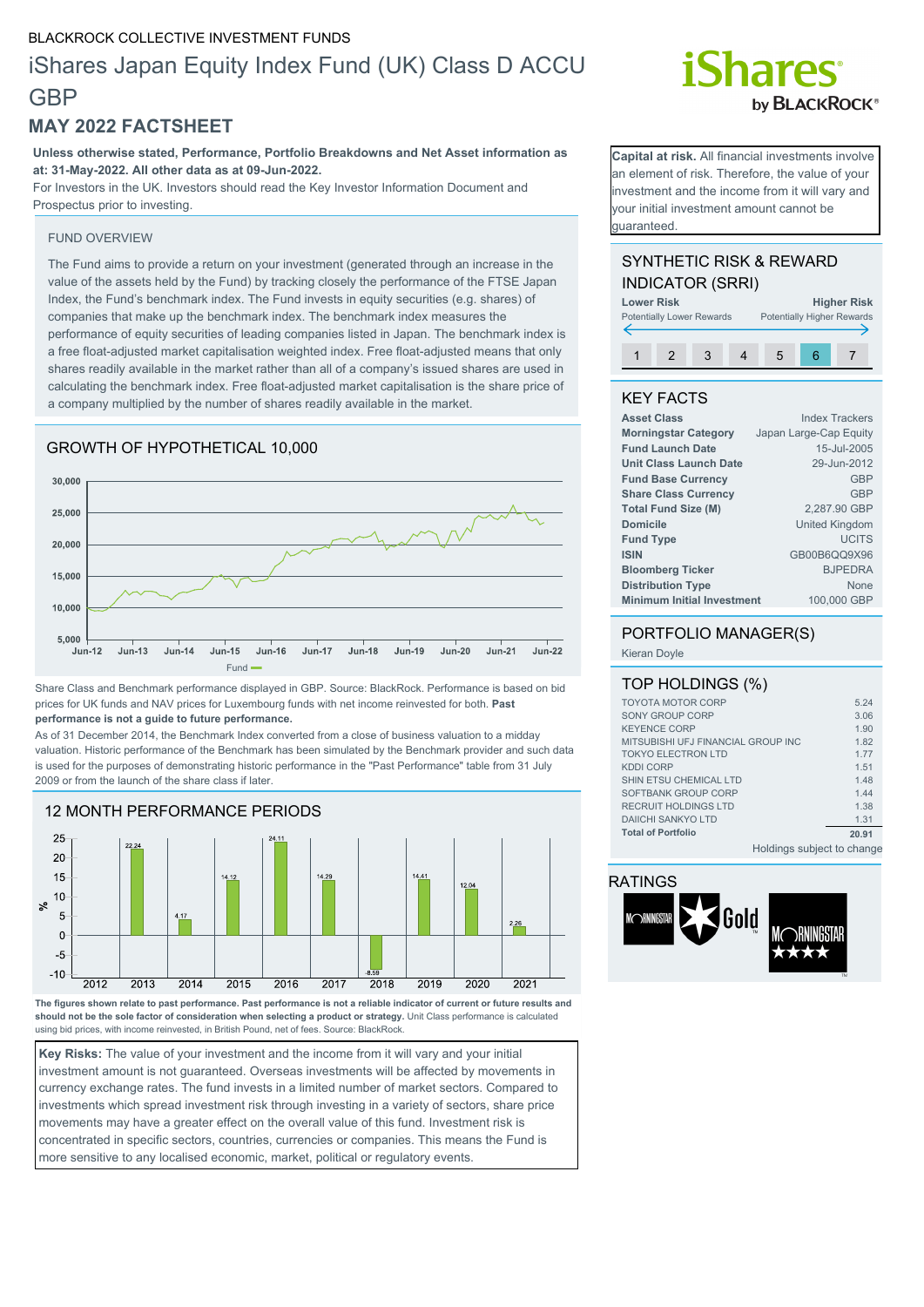#### BLACKROCK COLLECTIVE INVESTMENT FUNDS

# iShares Japan Equity Index Fund (UK) Class D ACCU **GBP**

## **MAY 2022 FACTSHEET**

**Unless otherwise stated, Performance, Portfolio Breakdowns and Net Asset information as at: 31-May-2022. All other data as at 09-Jun-2022.**

For Investors in the UK. Investors should read the Key Investor Information Document and Prospectus prior to investing.

#### FUND OVERVIEW

The Fund aims to provide a return on your investment (generated through an increase in the value of the assets held by the Fund) by tracking closely the performance of the FTSE Japan Index, the Fund's benchmark index. The Fund invests in equity securities (e.g. shares) of companies that make up the benchmark index. The benchmark index measures the performance of equity securities of leading companies listed in Japan. The benchmark index is a free float-adjusted market capitalisation weighted index. Free float-adjusted means that only shares readily available in the market rather than all of a company's issued shares are used in calculating the benchmark index. Free float-adjusted market capitalisation is the share price of a company multiplied by the number of shares readily available in the market.

#### GROWTH OF HYPOTHETICAL 10,000



Share Class and Benchmark performance displayed in GBP. Source: BlackRock. Performance is based on bid prices for UK funds and NAV prices for Luxembourg funds with net income reinvested for both. **Past performance is not a guide to future performance.**

As of 31 December 2014, the Benchmark Index converted from a close of business valuation to a midday valuation. Historic performance of the Benchmark has been simulated by the Benchmark provider and such data is used for the purposes of demonstrating historic performance in the "Past Performance" table from 31 July 2009 or from the launch of the share class if later.



**The figures shown relate to past performance. Past performance is not a reliable indicator of current or future results and should not be the sole factor of consideration when selecting a product or strategy.** Unit Class performance is calculated using bid prices, with income reinvested, in British Pound, net of fees. Source: BlackRock.

**Key Risks:** The value of your investment and the income from it will vary and your initial investment amount is not guaranteed. Overseas investments will be affected by movements in currency exchange rates. The fund invests in a limited number of market sectors. Compared to investments which spread investment risk through investing in a variety of sectors, share price movements may have a greater effect on the overall value of this fund. Investment risk is concentrated in specific sectors, countries, currencies or companies. This means the Fund is more sensitive to any localised economic, market, political or regulatory events.

# **Shares** by **BLACKROCK**<sup>®</sup>

**Capital at risk.** All financial investments involve an element of risk. Therefore, the value of your nvestment and the income from it will vary and your initial investment amount cannot be guaranteed.

### SYNTHETIC RISK & REWARD INDICATOR (SRRI)



### KEY FACTS

| <b>Asset Class</b>                | <b>Index Trackers</b>  |
|-----------------------------------|------------------------|
| <b>Morningstar Category</b>       | Japan Large-Cap Equity |
| <b>Fund Launch Date</b>           | 15-Jul-2005            |
| <b>Unit Class Launch Date</b>     | 29-Jun-2012            |
| <b>Fund Base Currency</b>         | <b>GBP</b>             |
| <b>Share Class Currency</b>       | <b>GBP</b>             |
| <b>Total Fund Size (M)</b>        | 2.287.90 GBP           |
| <b>Domicile</b>                   | <b>United Kingdom</b>  |
| <b>Fund Type</b>                  | <b>UCITS</b>           |
| <b>ISIN</b>                       | GB00B6QQ9X96           |
| <b>Bloomberg Ticker</b>           | <b>BJPEDRA</b>         |
| <b>Distribution Type</b>          | <b>None</b>            |
| <b>Minimum Initial Investment</b> | 100,000 GBP            |

# PORTFOLIO MANAGER(S)

Kieran Doyle

| TOP HOLDINGS (%)                   |                            |       |
|------------------------------------|----------------------------|-------|
| <b>TOYOTA MOTOR CORP</b>           |                            | 5.24  |
| SONY GROUP CORP                    |                            | 3.06  |
| <b>KEYENCE CORP</b>                |                            | 1.90  |
| MITSUBISHI UFJ FINANCIAL GROUP INC |                            | 1.82  |
| <b>TOKYO ELECTRON LTD</b>          |                            | 1 7 7 |
| <b>KDDI CORP</b>                   |                            | 1.51  |
| SHIN ETSU CHEMICAL LTD             |                            | 1.48  |
| SOFTBANK GROUP CORP                |                            | 1.44  |
| RECRUIT HOLDINGS LTD               |                            | 1.38  |
| <b>DAIICHI SANKYO LTD</b>          |                            | 1.31  |
| <b>Total of Portfolio</b>          |                            | 20.91 |
|                                    | Holdings subject to change |       |

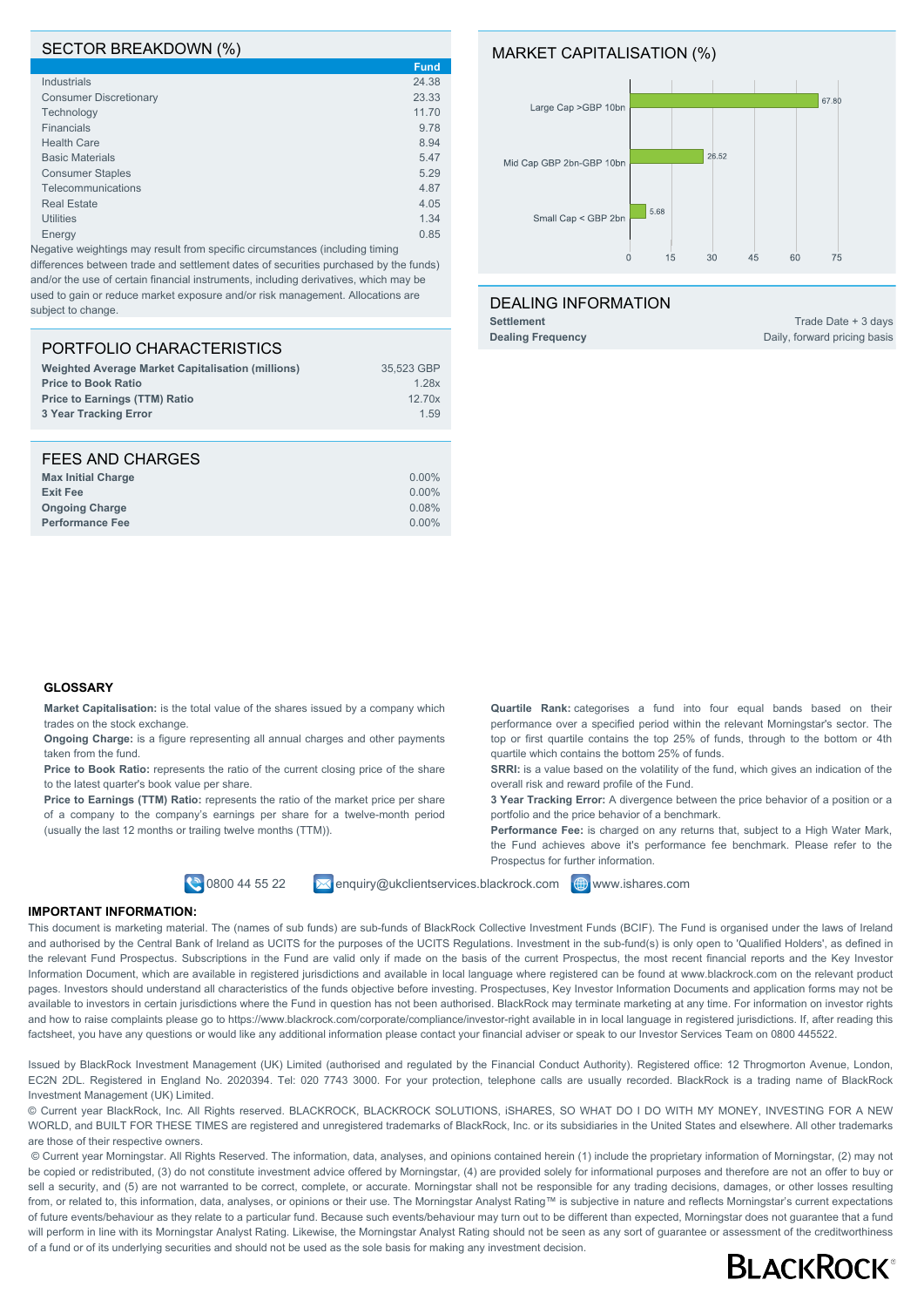#### SECTOR BREAKDOWN (%)

|                               | <b>Fund</b> |
|-------------------------------|-------------|
| Industrials                   | 24.38       |
| <b>Consumer Discretionary</b> | 23.33       |
| Technology                    | 11.70       |
| <b>Financials</b>             | 9.78        |
| <b>Health Care</b>            | 8.94        |
| <b>Basic Materials</b>        | 5.47        |
| <b>Consumer Staples</b>       | 5.29        |
| Telecommunications            | 4.87        |
| <b>Real Estate</b>            | 4.05        |
| <b>Utilities</b>              | 1.34        |
| Energy                        | 0.85        |
|                               |             |

Negative weightings may result from specific circumstances (including timing differences between trade and settlement dates of securities purchased by the funds) and/or the use of certain financial instruments, including derivatives, which may be used to gain or reduce market exposure and/or risk management. Allocations are subject to change.

#### PORTFOLIO CHARACTERISTICS

| <b>Weighted Average Market Capitalisation (millions)</b> | 35.523 GBP |
|----------------------------------------------------------|------------|
| <b>Price to Book Ratio</b>                               | 1.28x      |
| <b>Price to Earnings (TTM) Ratio</b>                     | 12.70x     |
| 3 Year Tracking Error                                    | 1.59       |
|                                                          |            |

| FEES AND CHARGES          |          |
|---------------------------|----------|
| <b>Max Initial Charge</b> | $0.00\%$ |
| <b>Exit Fee</b>           | $0.00\%$ |
| <b>Ongoing Charge</b>     | 0.08%    |
| <b>Performance Fee</b>    | $0.00\%$ |

#### MARKET CAPITALISATION (%)



#### DEALING INFORMATION

**Settlement** Trade Date + 3 days **Dealing Frequency** Daily, forward pricing basis

#### **GLOSSARY**

**Market Capitalisation:** is the total value of the shares issued by a company which trades on the stock exchange.

**Ongoing Charge:** is a figure representing all annual charges and other payments taken from the fund.

Price to Book Ratio: represents the ratio of the current closing price of the share to the latest quarter's book value per share.

Price to Earnings (TTM) Ratio: represents the ratio of the market price per share of a company to the company's earnings per share for a twelve-month period (usually the last 12 months or trailing twelve months (TTM)).

**0800 44 55 22** Menquiry@ukclientservices.blackrock.com **@www.ishares.com** 

quartile which contains the bottom 25% of funds.

portfolio and the price behavior of a benchmark.

overall risk and reward profile of the Fund.

Prospectus for further information.

**Quartile Rank:** categorises a fund into four equal bands based on their performance over a specified period within the relevant Morningstar's sector. The top or first quartile contains the top 25% of funds, through to the bottom or 4th

**SRRI:** is a value based on the volatility of the fund, which gives an indication of the

**3 Year Tracking Error:** A divergence between the price behavior of a position or a

**Performance Fee:** is charged on any returns that, subject to a High Water Mark, the Fund achieves above it's performance fee benchmark. Please refer to the

#### **IMPORTANT INFORMATION:**

This document is marketing material. The (names of sub funds) are sub-funds of BlackRock Collective Investment Funds (BCIF). The Fund is organised under the laws of Ireland and authorised by the Central Bank of Ireland as UCITS for the purposes of the UCITS Regulations. Investment in the sub-fund(s) is only open to 'Qualified Holders', as defined in the relevant Fund Prospectus. Subscriptions in the Fund are valid only if made on the basis of the current Prospectus, the most recent financial reports and the Key Investor Information Document, which are available in registered jurisdictions and available in local language where registered can be found at www.blackrock.com on the relevant product pages. Investors should understand all characteristics of the funds objective before investing. Prospectuses, Key Investor Information Documents and application forms may not be available to investors in certain jurisdictions where the Fund in question has not been authorised. BlackRock may terminate marketing at any time. For information on investor rights and how to raise complaints please go to https://www.blackrock.com/corporate/compliance/investor-right available in in local language in registered jurisdictions. If, after reading this factsheet, you have any questions or would like any additional information please contact your financial adviser or speak to our Investor Services Team on 0800 445522.

Issued by BlackRock Investment Management (UK) Limited (authorised and regulated by the Financial Conduct Authority). Registered office: 12 Throgmorton Avenue, London, EC2N 2DL. Registered in England No. 2020394. Tel: 020 7743 3000. For your protection, telephone calls are usually recorded. BlackRock is a trading name of BlackRock Investment Management (UK) Limited.

© Current year BlackRock, Inc. All Rights reserved. BLACKROCK, BLACKROCK SOLUTIONS, iSHARES, SO WHAT DO I DO WITH MY MONEY, INVESTING FOR A NEW WORLD, and BUILT FOR THESE TIMES are registered and unregistered trademarks of BlackRock, Inc. or its subsidiaries in the United States and elsewhere. All other trademarks are those of their respective owners.

 © Current year Morningstar. All Rights Reserved. The information, data, analyses, and opinions contained herein (1) include the proprietary information of Morningstar, (2) may not be copied or redistributed, (3) do not constitute investment advice offered by Morningstar, (4) are provided solely for informational purposes and therefore are not an offer to buy or sell a security, and (5) are not warranted to be correct, complete, or accurate. Morningstar shall not be responsible for any trading decisions, damages, or other losses resulting from, or related to, this information, data, analyses, or opinions or their use. The Morningstar Analyst Rating™ is subjective in nature and reflects Morningstar's current expectations of future events/behaviour as they relate to a particular fund. Because such events/behaviour may turn out to be different than expected, Morningstar does not guarantee that a fund will perform in line with its Morningstar Analyst Rating. Likewise, the Morningstar Analyst Rating should not be seen as any sort of guarantee or assessment of the creditworthiness of a fund or of its underlying securities and should not be used as the sole basis for making any investment decision.